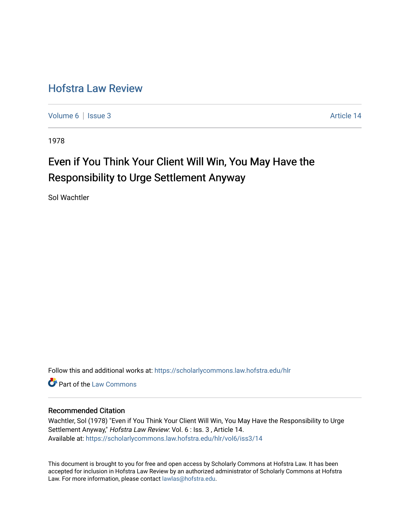## [Hofstra Law Review](https://scholarlycommons.law.hofstra.edu/hlr)

[Volume 6](https://scholarlycommons.law.hofstra.edu/hlr/vol6) | [Issue 3](https://scholarlycommons.law.hofstra.edu/hlr/vol6/iss3) Article 14

1978

# Even if You Think Your Client Will Win, You May Have the Responsibility to Urge Settlement Anyway

Sol Wachtler

Follow this and additional works at: [https://scholarlycommons.law.hofstra.edu/hlr](https://scholarlycommons.law.hofstra.edu/hlr?utm_source=scholarlycommons.law.hofstra.edu%2Fhlr%2Fvol6%2Fiss3%2F14&utm_medium=PDF&utm_campaign=PDFCoverPages)

Part of the [Law Commons](http://network.bepress.com/hgg/discipline/578?utm_source=scholarlycommons.law.hofstra.edu%2Fhlr%2Fvol6%2Fiss3%2F14&utm_medium=PDF&utm_campaign=PDFCoverPages)

## Recommended Citation

Wachtler, Sol (1978) "Even if You Think Your Client Will Win, You May Have the Responsibility to Urge Settlement Anyway," Hofstra Law Review: Vol. 6 : Iss. 3 , Article 14. Available at: [https://scholarlycommons.law.hofstra.edu/hlr/vol6/iss3/14](https://scholarlycommons.law.hofstra.edu/hlr/vol6/iss3/14?utm_source=scholarlycommons.law.hofstra.edu%2Fhlr%2Fvol6%2Fiss3%2F14&utm_medium=PDF&utm_campaign=PDFCoverPages)

This document is brought to you for free and open access by Scholarly Commons at Hofstra Law. It has been accepted for inclusion in Hofstra Law Review by an authorized administrator of Scholarly Commons at Hofstra Law. For more information, please contact [lawlas@hofstra.edu.](mailto:lawlas@hofstra.edu)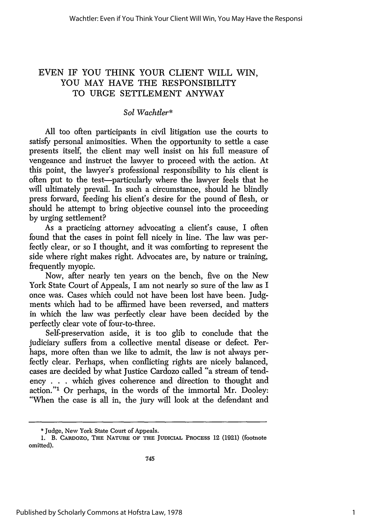## EVEN IF YOU THINK YOUR CLIENT WILL WIN, YOU MAY HAVE THE RESPONSIBILITY TO URGE SETTLEMENT ANYWAY

### *Sol Wachtler\**

All too often participants in civil litigation use the courts to satisfy personal animosities. When the opportunity to settle a case presents itself, the client may well insist on his full measure of vengeance and instruct the lawyer to proceed with the action. At this point, the lawyer's professional responsibility to his client is often put to the test-particularly where the lawyer feels that he will ultimately prevail. In such a circumstance, should he blindly press forward, feeding his client's desire for the pound of flesh, or should he attempt to bring objective counsel into the proceeding by urging settlement?

As a practicing attorney advocating a client's cause, I often found that the cases in point fell nicely in line. The law was perfectly clear, or so I thought, and it was comforting to represent the side where right makes right. Advocates are, **by** nature or training, frequently myopic.

Now, after nearly ten years on the bench, five on the New York State Court of Appeals, I am not nearly so sure of the law as I once was. Cases which could not have been lost have been. Judgments which had to be affirmed have been reversed, and matters in which the law was perfectly clear have been decided **by** the perfectly clear vote of four-to-three.

Self-preservation aside, it is too glib to conclude that the judiciary suffers from a collective mental disease or defect. Perhaps, more often than we like to admit, the law is not always perfectly clear. Perhaps, when conflicting rights are nicely balanced, cases are decided **by** what Justice Cardozo called "a stream of tendency . **. .** which gives coherence and direction to thought and action."1 Or perhaps, in the words of the immortal Mr. Dooley: "When the case is all in, the jury will look at the defendant and

<sup>\*</sup> Judge, New York State Court of Appeals.

**<sup>1.</sup> B.** CARDOZO, **THE** NATURE OF THE **JUDICIAL PROCESS 12** (1921) (footnote omitted).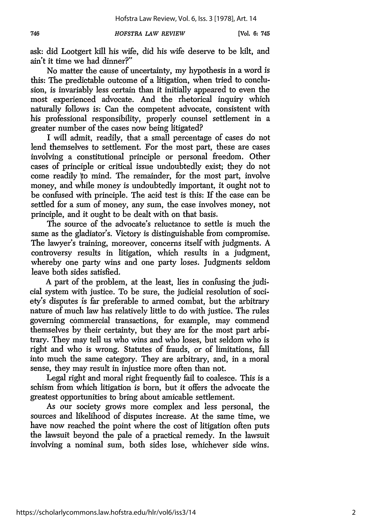ask: did Lootgert kill his wife, did his wife deserve to be kilt, and ain't it time we had dinner?"

No matter the cause of uncertainty, my hypothesis in a word is this: The predictable outcome of a litigation, when tried to conclusion, is invariably less certain than it initially appeared to even the most experienced advocate. And the rhetorical inquiry which naturally follows is: Can the competent advocate, consistent with his professional responsibility, properly counsel settlement in a greater number of the cases now being litigated?

I will admit, readily, that a small percentage of cases do not lend themselves to settlement. For the most part, these are cases involving a constitutional principle or personal freedom. Other cases of principle or critical issue undoubtedly exist; they do not come readily to mind. The remainder, for the most part, involve money, and while money is undoubtedly important, it ought not to be confused with principle. The acid test is this: If the case can be settled for a sum of money, any sum, the case involves money, not principle, and it ought to be dealt with on that basis.

The source of the advocate's reluctance to settle is much the same as the gladiator's. Victory is distinguishable from compromise. The lawyer's training, moreover, concerns itself with judgments. A controversy results in litigation, which results in a judgment, whereby one party wins and one party loses. Judgments seldom leave both sides satisfied.

A part of the problem, at the least, lies in confusing the judicial system with justice. To be sure, the judicial resolution of society's disputes is far preferable to armed combat, but the arbitrary nature of much law has relatively little to do with justice. The rules governing commercial transactions, for example, may commend themselves by their certainty, but they are for the most part arbitrary. They may tell us who wins and who loses, but seldom who is right and who is wrong. Statutes of frauds, or of limitations, fall into much the same category. They are arbitrary, and, in a moral sense, they may result in injustice more often than not.

Legal right and moral right frequently fail to coalesce. This is a schism from which litigation is born, but it offers the advocate the greatest opportunities to bring about amicable settlement.

As our society grows more complex and less personal, the sources and likelihood of disputes increase. At the same time, we have now reached the point where the cost of litigation often puts the lawsuit beyond the pale of a practical remedy. In the lawsuit involving a nominal sum, both sides lose, whichever side wins.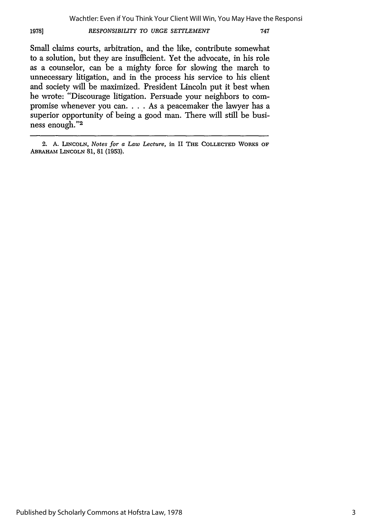#### 1978] *RESPONSIBILITY TO URGE SETTLEMENT* **747**

Small claims courts, arbitration, and the like, contribute somewhat to a solution, but they are insufficient. Yet the advocate, in his role as a counselor, can be a mighty force for slowing the march to unnecessary litigation, and in the process his service to his client and society will be maximized. President Lincoln put it best when he wrote: "Discourage litigation. Persuade your neighbors to compromise whenever you can. . . . As a peacemaker the lawyer has a superior opportunity of being a good man. There will still be business enough."<sup>2</sup>

<sup>2.</sup> A. **LINCOLN,** *Notes for a Law Lecture,* in II **THE COLLECTED** WORKS OF ABRAHAM LINCOLN 81, 81 (1953).